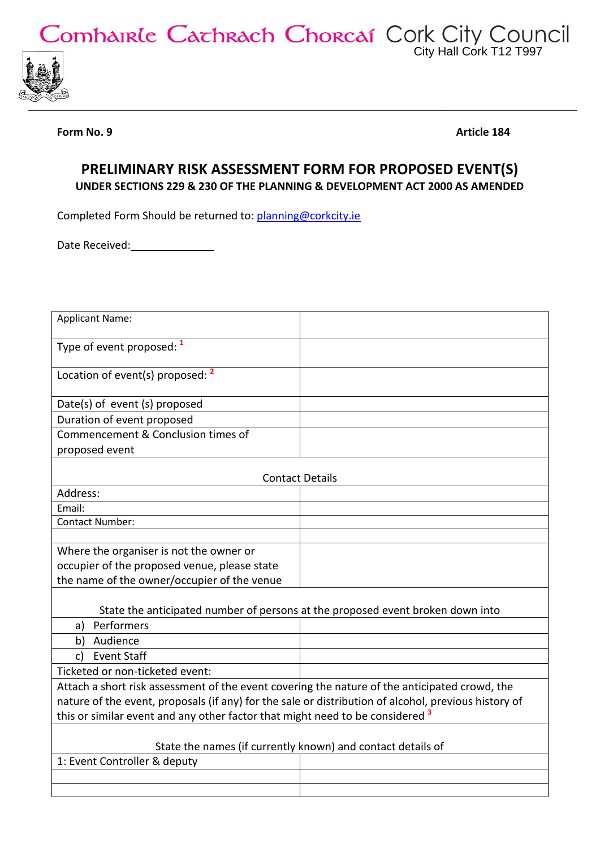Comhairle Cachrach Chorcaí Cork City Council



**Form No. 9 Article 184** 

## **PRELIMINARY RISK ASSESSMENT FORM FOR PROPOSED EVENT(S) UNDER SECTIONS 229 & 230 OF THE PLANNING & DEVELOPMENT ACT 2000 AS AMENDED**

Completed Form Should be returned to: [planning@corkcity.ie](mailto:planning@corkcity.ie)

Date Received: Mate Received:

| <b>Applicant Name:</b>                                                                               |  |  |
|------------------------------------------------------------------------------------------------------|--|--|
| Type of event proposed: 1                                                                            |  |  |
| Location of event(s) proposed: <sup>2</sup>                                                          |  |  |
| Date(s) of event (s) proposed                                                                        |  |  |
| Duration of event proposed                                                                           |  |  |
| Commencement & Conclusion times of                                                                   |  |  |
| proposed event                                                                                       |  |  |
|                                                                                                      |  |  |
| <b>Contact Details</b>                                                                               |  |  |
| Address:                                                                                             |  |  |
| Email:                                                                                               |  |  |
| <b>Contact Number:</b>                                                                               |  |  |
|                                                                                                      |  |  |
| Where the organiser is not the owner or                                                              |  |  |
| occupier of the proposed venue, please state<br>the name of the owner/occupier of the venue          |  |  |
|                                                                                                      |  |  |
| State the anticipated number of persons at the proposed event broken down into                       |  |  |
| Performers<br>a)                                                                                     |  |  |
| Audience<br>b)                                                                                       |  |  |
| <b>Event Staff</b><br>C)                                                                             |  |  |
| Ticketed or non-ticketed event:                                                                      |  |  |
| Attach a short risk assessment of the event covering the nature of the anticipated crowd, the        |  |  |
| nature of the event, proposals (if any) for the sale or distribution of alcohol, previous history of |  |  |
| this or similar event and any other factor that might need to be considered <sup>3</sup>             |  |  |
|                                                                                                      |  |  |
| State the names (if currently known) and contact details of                                          |  |  |
| 1: Event Controller & deputy                                                                         |  |  |
|                                                                                                      |  |  |
|                                                                                                      |  |  |